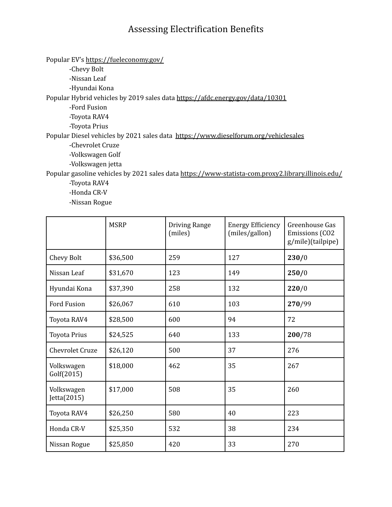## Assessing Electrification Benefits

Popular EV's <https://fueleconomy.gov/> -Chevy Bolt -Nissan Leaf -Hyundai Kona Popular Hybrid vehicles by 2019 sales data <https://afdc.energy.gov/data/10301> -Ford Fusion -Toyota RAV4 -Toyota Prius Popular Diesel vehicles by 2021 sales data <https://www.dieselforum.org/vehiclesales> -Chevrolet Cruze -Volkswagen Golf -Volkswagen jetta Popular gasoline vehicles by 2021 sales data <https://www-statista-com.proxy2.library.illinois.edu/> -Toyota RAV4

-Honda CR-V

-Nissan Rogue

|                           | <b>MSRP</b> | Driving Range<br>(miles) | <b>Energy Efficiency</b><br>(miles/gallon) | Greenhouse Gas<br><b>Emissions</b> (CO2<br>g/mile)(tailpipe) |
|---------------------------|-------------|--------------------------|--------------------------------------------|--------------------------------------------------------------|
| Chevy Bolt                | \$36,500    | 259                      | 127                                        | 230/0                                                        |
| Nissan Leaf               | \$31,670    | 123                      | 149                                        | 250/0                                                        |
| Hyundai Kona              | \$37,390    | 258                      | 132                                        | 220/0                                                        |
| <b>Ford Fusion</b>        | \$26,067    | 610                      | 103                                        | 270/99                                                       |
| Toyota RAV4               | \$28,500    | 600                      | 94                                         | 72                                                           |
| <b>Toyota Prius</b>       | \$24,525    | 640                      | 133                                        | 200/78                                                       |
| <b>Chevrolet Cruze</b>    | \$26,120    | 500                      | 37                                         | 276                                                          |
| Volkswagen<br>Golf(2015)  | \$18,000    | 462                      | 35                                         | 267                                                          |
| Volkswagen<br>Jetta(2015) | \$17,000    | 508                      | 35                                         | 260                                                          |
| Toyota RAV4               | \$26,250    | 580                      | 40                                         | 223                                                          |
| Honda CR-V                | \$25,350    | 532                      | 38                                         | 234                                                          |
| Nissan Rogue              | \$25,850    | 420                      | 33                                         | 270                                                          |